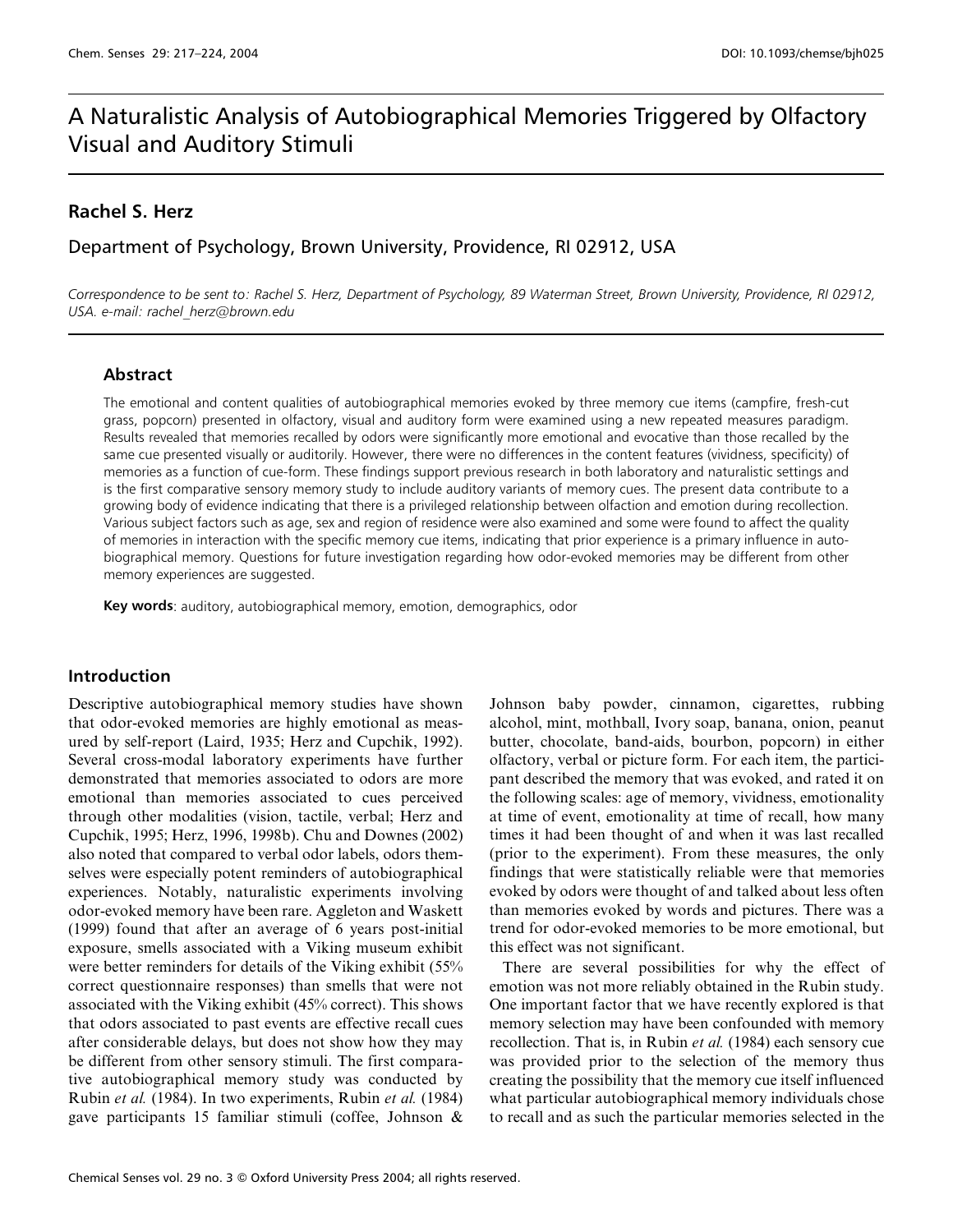# A Naturalistic Analysis of Autobiographical Memories Triggered by Olfactory Visual and Auditory Stimuli

## **Rachel S. Herz**

Department of Psychology, Brown University, Providence, RI 02912, USA

*Correspondence to be sent to: Rachel S. Herz, Department of Psychology, 89 Waterman Street, Brown University, Providence, RI 02912, USA. e-mail: rachel\_herz@brown.edu*

### **Abstract**

The emotional and content qualities of autobiographical memories evoked by three memory cue items (campfire, fresh-cut grass, popcorn) presented in olfactory, visual and auditory form were examined using a new repeated measures paradigm. Results revealed that memories recalled by odors were significantly more emotional and evocative than those recalled by the same cue presented visually or auditorily. However, there were no differences in the content features (vividness, specificity) of memories as a function of cue-form. These findings support previous research in both laboratory and naturalistic settings and is the first comparative sensory memory study to include auditory variants of memory cues. The present data contribute to a growing body of evidence indicating that there is a privileged relationship between olfaction and emotion during recollection. Various subject factors such as age, sex and region of residence were also examined and some were found to affect the quality of memories in interaction with the specific memory cue items, indicating that prior experience is a primary influence in autobiographical memory. Questions for future investigation regarding how odor-evoked memories may be different from other memory experiences are suggested.

**Key words**: auditory, autobiographical memory, emotion, demographics, odor

## **Introduction**

Descriptive autobiographical memory studies have shown that odor-evoked memories are highly emotional as measured by self-report (Laird, 1935; Herz and Cupchik, 1992). Several cross-modal laboratory experiments have further demonstrated that memories associated to odors are more emotional than memories associated to cues perceived through other modalities (vision, tactile, verbal; Herz and Cupchik, 1995; Herz, 1996, 1998b). Chu and Downes (2002) also noted that compared to verbal odor labels, odors themselves were especially potent reminders of autobiographical experiences. Notably, naturalistic experiments involving odor-evoked memory have been rare. Aggleton and Waskett (1999) found that after an average of 6 years post-initial exposure, smells associated with a Viking museum exhibit were better reminders for details of the Viking exhibit (55% correct questionnaire responses) than smells that were not associated with the Viking exhibit (45% correct). This shows that odors associated to past events are effective recall cues after considerable delays, but does not show how they may be different from other sensory stimuli. The first comparative autobiographical memory study was conducted by Rubin *et al.* (1984). In two experiments, Rubin *et al.* (1984) gave participants 15 familiar stimuli (coffee, Johnson &

Johnson baby powder, cinnamon, cigarettes, rubbing alcohol, mint, mothball, Ivory soap, banana, onion, peanut butter, chocolate, band-aids, bourbon, popcorn) in either olfactory, verbal or picture form. For each item, the participant described the memory that was evoked, and rated it on the following scales: age of memory, vividness, emotionality at time of event, emotionality at time of recall, how many times it had been thought of and when it was last recalled (prior to the experiment). From these measures, the only findings that were statistically reliable were that memories evoked by odors were thought of and talked about less often than memories evoked by words and pictures. There was a trend for odor-evoked memories to be more emotional, but this effect was not significant.

There are several possibilities for why the effect of emotion was not more reliably obtained in the Rubin study. One important factor that we have recently explored is that memory selection may have been confounded with memory recollection. That is, in Rubin *et al.* (1984) each sensory cue was provided prior to the selection of the memory thus creating the possibility that the memory cue itself influenced what particular autobiographical memory individuals chose to recall and as such the particular memories selected in the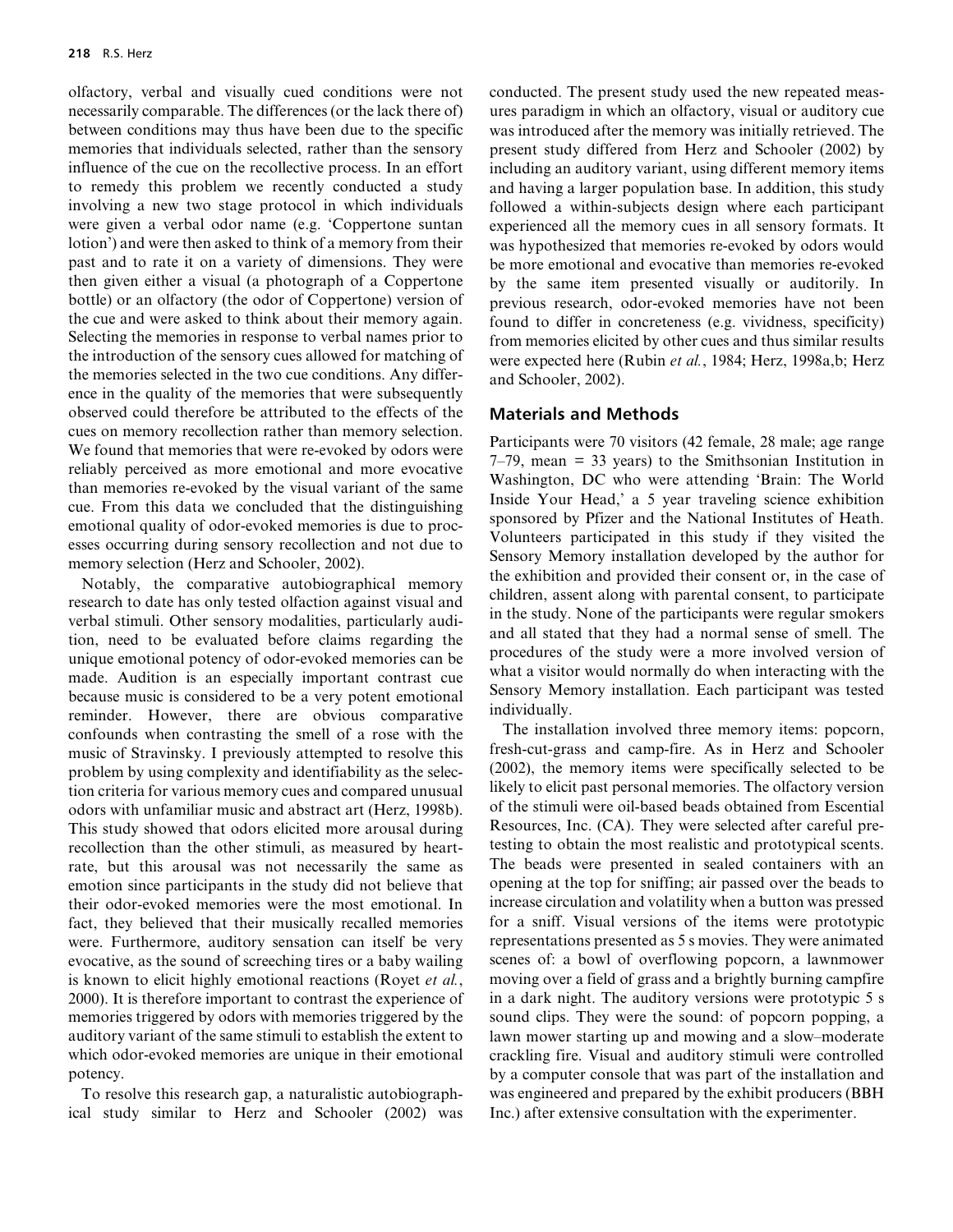olfactory, verbal and visually cued conditions were not necessarily comparable. The differences (or the lack there of) between conditions may thus have been due to the specific memories that individuals selected, rather than the sensory influence of the cue on the recollective process. In an effort to remedy this problem we recently conducted a study involving a new two stage protocol in which individuals were given a verbal odor name (e.g. 'Coppertone suntan lotion') and were then asked to think of a memory from their past and to rate it on a variety of dimensions. They were then given either a visual (a photograph of a Coppertone bottle) or an olfactory (the odor of Coppertone) version of the cue and were asked to think about their memory again. Selecting the memories in response to verbal names prior to the introduction of the sensory cues allowed for matching of the memories selected in the two cue conditions. Any difference in the quality of the memories that were subsequently observed could therefore be attributed to the effects of the cues on memory recollection rather than memory selection. We found that memories that were re-evoked by odors were reliably perceived as more emotional and more evocative than memories re-evoked by the visual variant of the same cue. From this data we concluded that the distinguishing emotional quality of odor-evoked memories is due to processes occurring during sensory recollection and not due to memory selection (Herz and Schooler, 2002).

Notably, the comparative autobiographical memory research to date has only tested olfaction against visual and verbal stimuli. Other sensory modalities, particularly audition, need to be evaluated before claims regarding the unique emotional potency of odor-evoked memories can be made. Audition is an especially important contrast cue because music is considered to be a very potent emotional reminder. However, there are obvious comparative confounds when contrasting the smell of a rose with the music of Stravinsky. I previously attempted to resolve this problem by using complexity and identifiability as the selection criteria for various memory cues and compared unusual odors with unfamiliar music and abstract art (Herz, 1998b). This study showed that odors elicited more arousal during recollection than the other stimuli, as measured by heartrate, but this arousal was not necessarily the same as emotion since participants in the study did not believe that their odor-evoked memories were the most emotional. In fact, they believed that their musically recalled memories were. Furthermore, auditory sensation can itself be very evocative, as the sound of screeching tires or a baby wailing is known to elicit highly emotional reactions (Royet *et al.*, 2000). It is therefore important to contrast the experience of memories triggered by odors with memories triggered by the auditory variant of the same stimuli to establish the extent to which odor-evoked memories are unique in their emotional potency.

To resolve this research gap, a naturalistic autobiographical study similar to Herz and Schooler (2002) was conducted. The present study used the new repeated measures paradigm in which an olfactory, visual or auditory cue was introduced after the memory was initially retrieved. The present study differed from Herz and Schooler (2002) by including an auditory variant, using different memory items and having a larger population base. In addition, this study followed a within-subjects design where each participant experienced all the memory cues in all sensory formats. It was hypothesized that memories re-evoked by odors would be more emotional and evocative than memories re-evoked by the same item presented visually or auditorily. In previous research, odor-evoked memories have not been found to differ in concreteness (e.g. vividness, specificity) from memories elicited by other cues and thus similar results were expected here (Rubin *et al.*, 1984; Herz, 1998a,b; Herz and Schooler, 2002).

#### **Materials and Methods**

Participants were 70 visitors (42 female, 28 male; age range 7–79, mean = 33 years) to the Smithsonian Institution in Washington, DC who were attending 'Brain: The World Inside Your Head,' a 5 year traveling science exhibition sponsored by Pfizer and the National Institutes of Heath. Volunteers participated in this study if they visited the Sensory Memory installation developed by the author for the exhibition and provided their consent or, in the case of children, assent along with parental consent, to participate in the study. None of the participants were regular smokers and all stated that they had a normal sense of smell. The procedures of the study were a more involved version of what a visitor would normally do when interacting with the Sensory Memory installation. Each participant was tested individually.

The installation involved three memory items: popcorn, fresh-cut-grass and camp-fire. As in Herz and Schooler (2002), the memory items were specifically selected to be likely to elicit past personal memories. The olfactory version of the stimuli were oil-based beads obtained from Escential Resources, Inc. (CA). They were selected after careful pretesting to obtain the most realistic and prototypical scents. The beads were presented in sealed containers with an opening at the top for sniffing; air passed over the beads to increase circulation and volatility when a button was pressed for a sniff. Visual versions of the items were prototypic representations presented as 5 s movies. They were animated scenes of: a bowl of overflowing popcorn, a lawnmower moving over a field of grass and a brightly burning campfire in a dark night. The auditory versions were prototypic 5 s sound clips. They were the sound: of popcorn popping, a lawn mower starting up and mowing and a slow–moderate crackling fire. Visual and auditory stimuli were controlled by a computer console that was part of the installation and was engineered and prepared by the exhibit producers (BBH Inc.) after extensive consultation with the experimenter.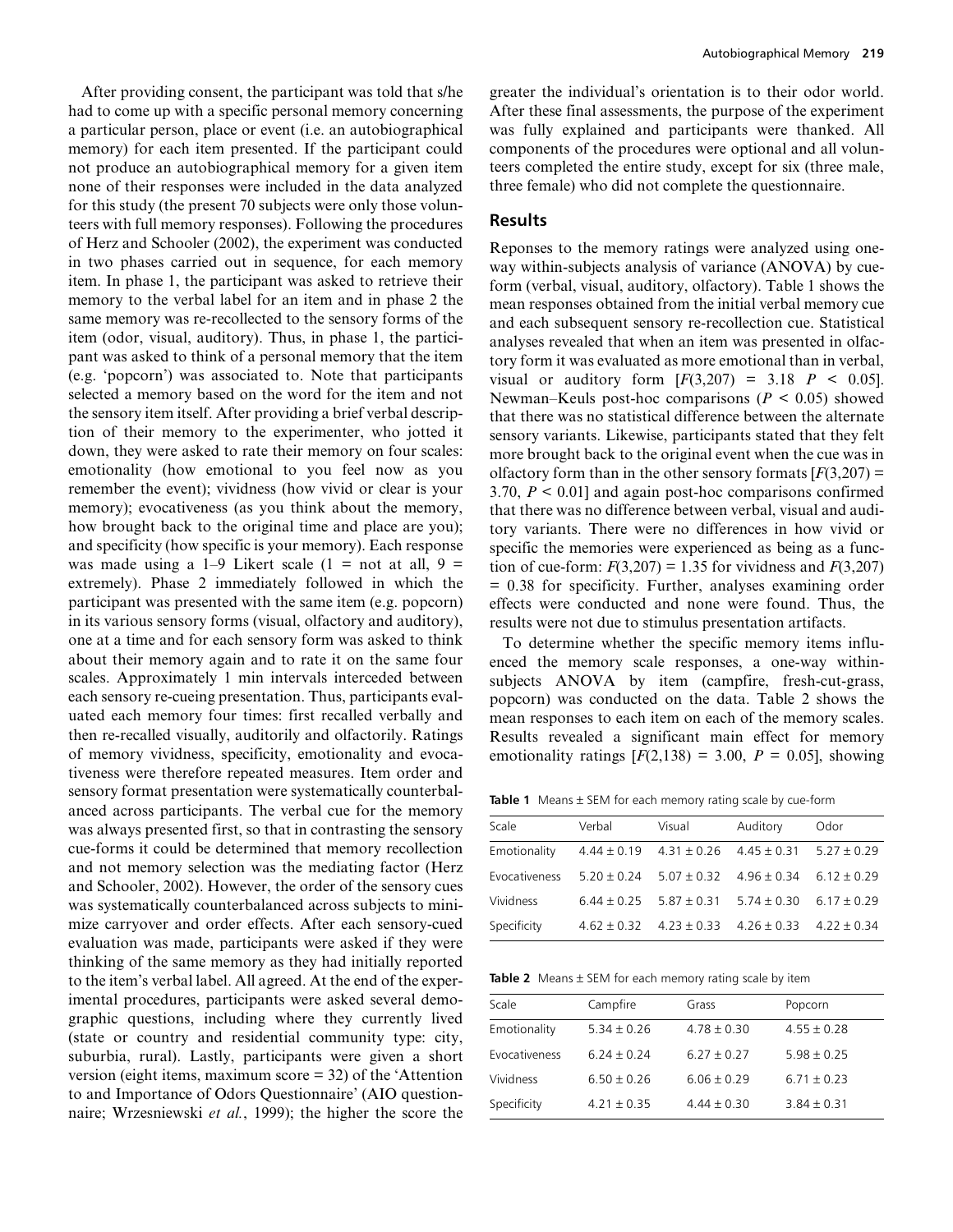After providing consent, the participant was told that s/he had to come up with a specific personal memory concerning a particular person, place or event (i.e. an autobiographical memory) for each item presented. If the participant could not produce an autobiographical memory for a given item none of their responses were included in the data analyzed for this study (the present 70 subjects were only those volunteers with full memory responses). Following the procedures of Herz and Schooler (2002), the experiment was conducted in two phases carried out in sequence, for each memory item. In phase 1, the participant was asked to retrieve their memory to the verbal label for an item and in phase 2 the same memory was re-recollected to the sensory forms of the item (odor, visual, auditory). Thus, in phase 1, the participant was asked to think of a personal memory that the item (e.g. 'popcorn') was associated to. Note that participants selected a memory based on the word for the item and not the sensory item itself. After providing a brief verbal description of their memory to the experimenter, who jotted it down, they were asked to rate their memory on four scales: emotionality (how emotional to you feel now as you remember the event); vividness (how vivid or clear is your memory); evocativeness (as you think about the memory, how brought back to the original time and place are you); and specificity (how specific is your memory). Each response was made using a 1–9 Likert scale (1 = not at all, 9 = extremely). Phase 2 immediately followed in which the participant was presented with the same item (e.g. popcorn) in its various sensory forms (visual, olfactory and auditory), one at a time and for each sensory form was asked to think about their memory again and to rate it on the same four scales. Approximately 1 min intervals interceded between each sensory re-cueing presentation. Thus, participants evaluated each memory four times: first recalled verbally and then re-recalled visually, auditorily and olfactorily. Ratings of memory vividness, specificity, emotionality and evocativeness were therefore repeated measures. Item order and sensory format presentation were systematically counterbalanced across participants. The verbal cue for the memory was always presented first, so that in contrasting the sensory cue-forms it could be determined that memory recollection and not memory selection was the mediating factor (Herz and Schooler, 2002). However, the order of the sensory cues was systematically counterbalanced across subjects to minimize carryover and order effects. After each sensory-cued evaluation was made, participants were asked if they were thinking of the same memory as they had initially reported to the item's verbal label. All agreed. At the end of the experimental procedures, participants were asked several demographic questions, including where they currently lived (state or country and residential community type: city, suburbia, rural). Lastly, participants were given a short version (eight items, maximum score = 32) of the 'Attention to and Importance of Odors Questionnaire' (AIO questionnaire; Wrzesniewski *et al.*, 1999); the higher the score the

greater the individual's orientation is to their odor world. After these final assessments, the purpose of the experiment was fully explained and participants were thanked. All components of the procedures were optional and all volunteers completed the entire study, except for six (three male, three female) who did not complete the questionnaire.

### **Results**

Reponses to the memory ratings were analyzed using oneway within-subjects analysis of variance (ANOVA) by cueform (verbal, visual, auditory, olfactory). Table 1 shows the mean responses obtained from the initial verbal memory cue and each subsequent sensory re-recollection cue. Statistical analyses revealed that when an item was presented in olfactory form it was evaluated as more emotional than in verbal, visual or auditory form  $[F(3,207) = 3.18 \, P \leq 0.05]$ . Newman–Keuls post-hoc comparisons (*P* < 0.05) showed that there was no statistical difference between the alternate sensory variants. Likewise, participants stated that they felt more brought back to the original event when the cue was in olfactory form than in the other sensory formats  $[F(3,207) =$ 3.70, *P* < 0.01] and again post-hoc comparisons confirmed that there was no difference between verbal, visual and auditory variants. There were no differences in how vivid or specific the memories were experienced as being as a function of cue-form:  $F(3,207) = 1.35$  for vividness and  $F(3,207)$ = 0.38 for specificity. Further, analyses examining order effects were conducted and none were found. Thus, the results were not due to stimulus presentation artifacts.

To determine whether the specific memory items influenced the memory scale responses, a one-way withinsubjects ANOVA by item (campfire, fresh-cut-grass, popcorn) was conducted on the data. Table 2 shows the mean responses to each item on each of the memory scales. Results revealed a significant main effect for memory emotionality ratings  $[F(2,138) = 3.00, P = 0.05]$ , showing

**Table 1** Means ± SEM for each memory rating scale by cue-form

| Scale         | Verbal                          | Visual          | Auditory        | Odor            |  |
|---------------|---------------------------------|-----------------|-----------------|-----------------|--|
| Emotionality  | $4.44 \pm 0.19$                 | $4.31 \pm 0.26$ | $4.45 \pm 0.31$ | $5.27 \pm 0.29$ |  |
| Evocativeness | $5.20 \pm 0.24$                 | $5.07 \pm 0.32$ | $4.96 \pm 0.34$ | $6.12 \pm 0.29$ |  |
| Vividness     | $6.44 \pm 0.25$ $5.87 \pm 0.31$ |                 | $5.74 \pm 0.30$ | $6.17 \pm 0.29$ |  |
| Specificity   | $4.62 \pm 0.32$                 | $4.23 \pm 0.33$ | $4.26 \pm 0.33$ | $4.22 \pm 0.34$ |  |

**Table 2** Means ± SEM for each memory rating scale by item

| Scale         | Campfire        | Grass           | Popcorn         |  |  |
|---------------|-----------------|-----------------|-----------------|--|--|
| Emotionality  | $5.34 \pm 0.26$ | $4.78 \pm 0.30$ | $4.55 \pm 0.28$ |  |  |
| Evocativeness | $6.24 \pm 0.24$ | $6.27 \pm 0.27$ | $5.98 \pm 0.25$ |  |  |
| Vividness     | $6.50 \pm 0.26$ | $6.06 \pm 0.29$ | $6.71 \pm 0.23$ |  |  |
| Specificity   | $4.21 \pm 0.35$ | $4.44 \pm 0.30$ | $3.84 \pm 0.31$ |  |  |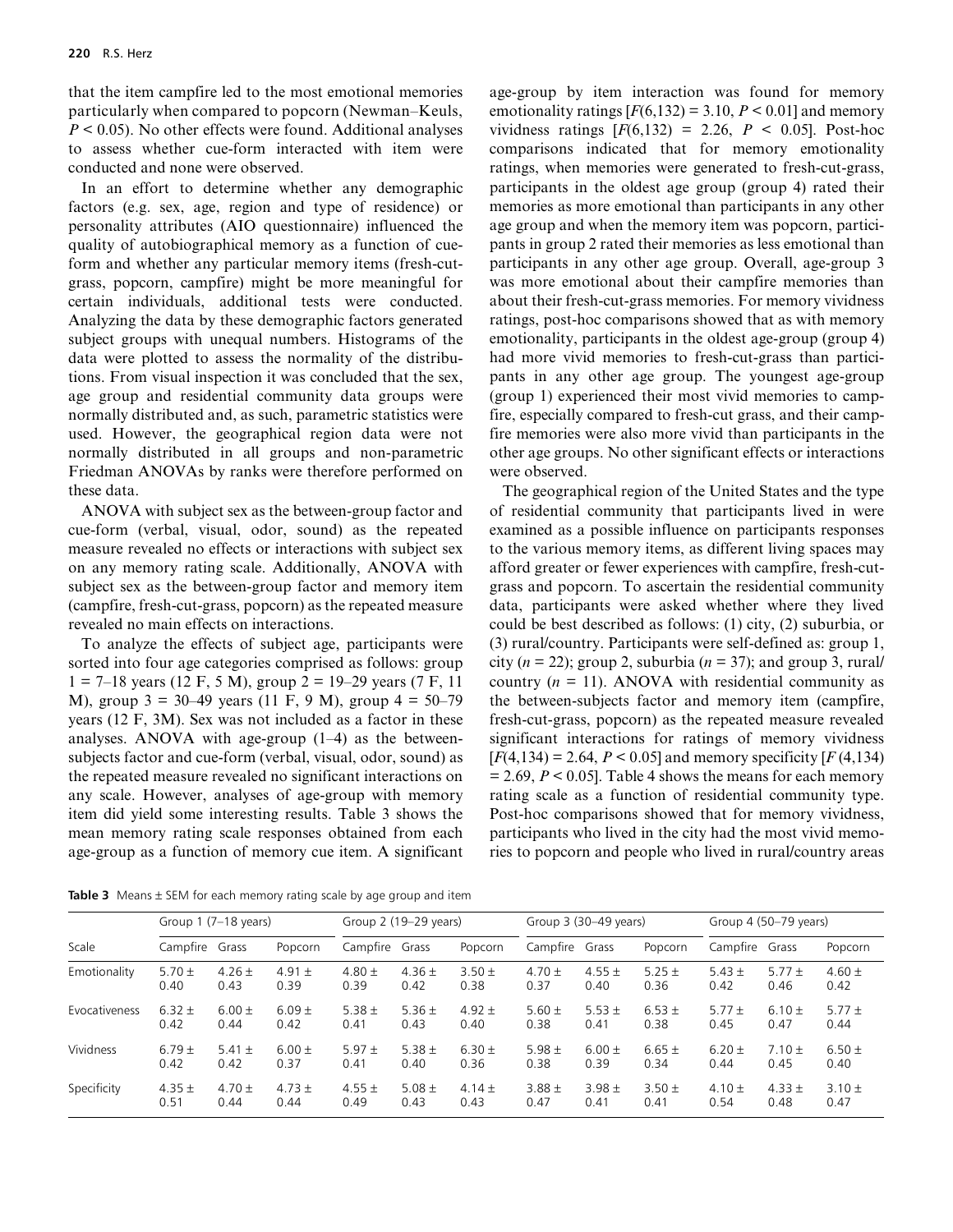that the item campfire led to the most emotional memories particularly when compared to popcorn (Newman–Keuls, *P* < 0.05). No other effects were found. Additional analyses to assess whether cue-form interacted with item were conducted and none were observed.

In an effort to determine whether any demographic factors (e.g. sex, age, region and type of residence) or personality attributes (AIO questionnaire) influenced the quality of autobiographical memory as a function of cueform and whether any particular memory items (fresh-cutgrass, popcorn, campfire) might be more meaningful for certain individuals, additional tests were conducted. Analyzing the data by these demographic factors generated subject groups with unequal numbers. Histograms of the data were plotted to assess the normality of the distributions. From visual inspection it was concluded that the sex, age group and residential community data groups were normally distributed and, as such, parametric statistics were used. However, the geographical region data were not normally distributed in all groups and non-parametric Friedman ANOVAs by ranks were therefore performed on these data.

ANOVA with subject sex as the between-group factor and cue-form (verbal, visual, odor, sound) as the repeated measure revealed no effects or interactions with subject sex on any memory rating scale. Additionally, ANOVA with subject sex as the between-group factor and memory item (campfire, fresh-cut-grass, popcorn) as the repeated measure revealed no main effects on interactions.

To analyze the effects of subject age, participants were sorted into four age categories comprised as follows: group  $1 = 7-18$  years (12 F, 5 M), group  $2 = 19-29$  years (7 F, 11) M), group  $3 = 30-49$  years (11 F, 9 M), group  $4 = 50-79$ years (12 F, 3M). Sex was not included as a factor in these analyses. ANOVA with age-group  $(1-4)$  as the betweensubjects factor and cue-form (verbal, visual, odor, sound) as the repeated measure revealed no significant interactions on any scale. However, analyses of age-group with memory item did yield some interesting results. Table 3 shows the mean memory rating scale responses obtained from each age-group as a function of memory cue item. A significant

age-group by item interaction was found for memory emotionality ratings  $[F(6,132) = 3.10, P < 0.01]$  and memory vividness ratings  $[F(6,132) = 2.26, P < 0.05]$ . Post-hoc comparisons indicated that for memory emotionality ratings, when memories were generated to fresh-cut-grass, participants in the oldest age group (group 4) rated their memories as more emotional than participants in any other age group and when the memory item was popcorn, participants in group 2 rated their memories as less emotional than participants in any other age group. Overall, age-group 3 was more emotional about their campfire memories than about their fresh-cut-grass memories. For memory vividness ratings, post-hoc comparisons showed that as with memory emotionality, participants in the oldest age-group (group 4) had more vivid memories to fresh-cut-grass than participants in any other age group. The youngest age-group (group 1) experienced their most vivid memories to campfire, especially compared to fresh-cut grass, and their campfire memories were also more vivid than participants in the other age groups. No other significant effects or interactions were observed.

The geographical region of the United States and the type of residential community that participants lived in were examined as a possible influence on participants responses to the various memory items, as different living spaces may afford greater or fewer experiences with campfire, fresh-cutgrass and popcorn. To ascertain the residential community data, participants were asked whether where they lived could be best described as follows: (1) city, (2) suburbia, or (3) rural/country. Participants were self-defined as: group 1, city (*n* = 22); group 2, suburbia (*n* = 37); and group 3, rural/ country  $(n = 11)$ . ANOVA with residential community as the between-subjects factor and memory item (campfire, fresh-cut-grass, popcorn) as the repeated measure revealed significant interactions for ratings of memory vividness  $[F(4,134) = 2.64, P \le 0.05]$  and memory specificity  $[F(4,134)]$  $= 2.69$ ,  $P < 0.05$ . Table 4 shows the means for each memory rating scale as a function of residential community type. Post-hoc comparisons showed that for memory vividness, participants who lived in the city had the most vivid memories to popcorn and people who lived in rural/country areas

**Table 3** Means ± SEM for each memory rating scale by age group and item

| Scale         | Group $1$ (7-18 years) |            | Group 2 (19-29 years) |                | Group 3 (30-49 years) |            | Group 4 (50-79 years) |            |          |            |            |            |
|---------------|------------------------|------------|-----------------------|----------------|-----------------------|------------|-----------------------|------------|----------|------------|------------|------------|
|               | Campfire Grass         |            | Popcorn               | Campfire Grass |                       | Popcorn    | Campfire Grass        |            | Popcorn  | Campfire   | Grass      | Popcorn    |
| Emotionality  | 5.70 $\pm$             | 4.26 $\pm$ | 4.91 $\pm$            | $4.80 +$       | $4.36 +$              | $3.50 \pm$ | $4.70 +$              | 4.55 $\pm$ | $5.25 +$ | $5.43 +$   | $5.77 +$   | 4.60 $\pm$ |
|               | 0.40                   | 0.43       | 0.39                  | 0.39           | 0.42                  | 0.38       | 0.37                  | 0.40       | 0.36     | 0.42       | 0.46       | 0.42       |
| Evocativeness | $6.32 +$               | $6.00 \pm$ | $6.09 +$              | $5.38 +$       | $5.36 +$              | $4.92 +$   | $5.60 +$              | $5.53 +$   | $6.53 +$ | $5.77 +$   | $6.10 +$   | $5.77 +$   |
|               | 0.42                   | 0.44       | 0.42                  | 0.41           | 0.43                  | 0.40       | 0.38                  | 0.41       | 0.38     | 0.45       | 0.47       | 0.44       |
| Vividness     | $6.79 +$               | $5.41 \pm$ | $6.00 +$              | $5.97 +$       | $5.38 +$              | $6.30 +$   | $5.98 +$              | $6.00 \pm$ | $6.65 +$ | $6.20 +$   | $7.10 \pm$ | $6.50 +$   |
|               | 0.42                   | 0.42       | 0.37                  | 0.41           | 0.40                  | 0.36       | 0.38                  | 0.39       | 0.34     | 0.44       | 0.45       | 0.40       |
| Specificity   | 4.35 $\pm$             | $4.70 +$   | $4.73 +$              | $4.55 \pm$     | $5.08 +$              | $4.14 +$   | $3.88 +$              | $3.98 +$   | $3.50 +$ | 4.10 $\pm$ | $4.33 +$   | $3.10 \pm$ |
|               | 0.51                   | 0.44       | 0.44                  | 0.49           | 0.43                  | 0.43       | 0.47                  | 0.41       | 0.41     | 0.54       | 0.48       | 0.47       |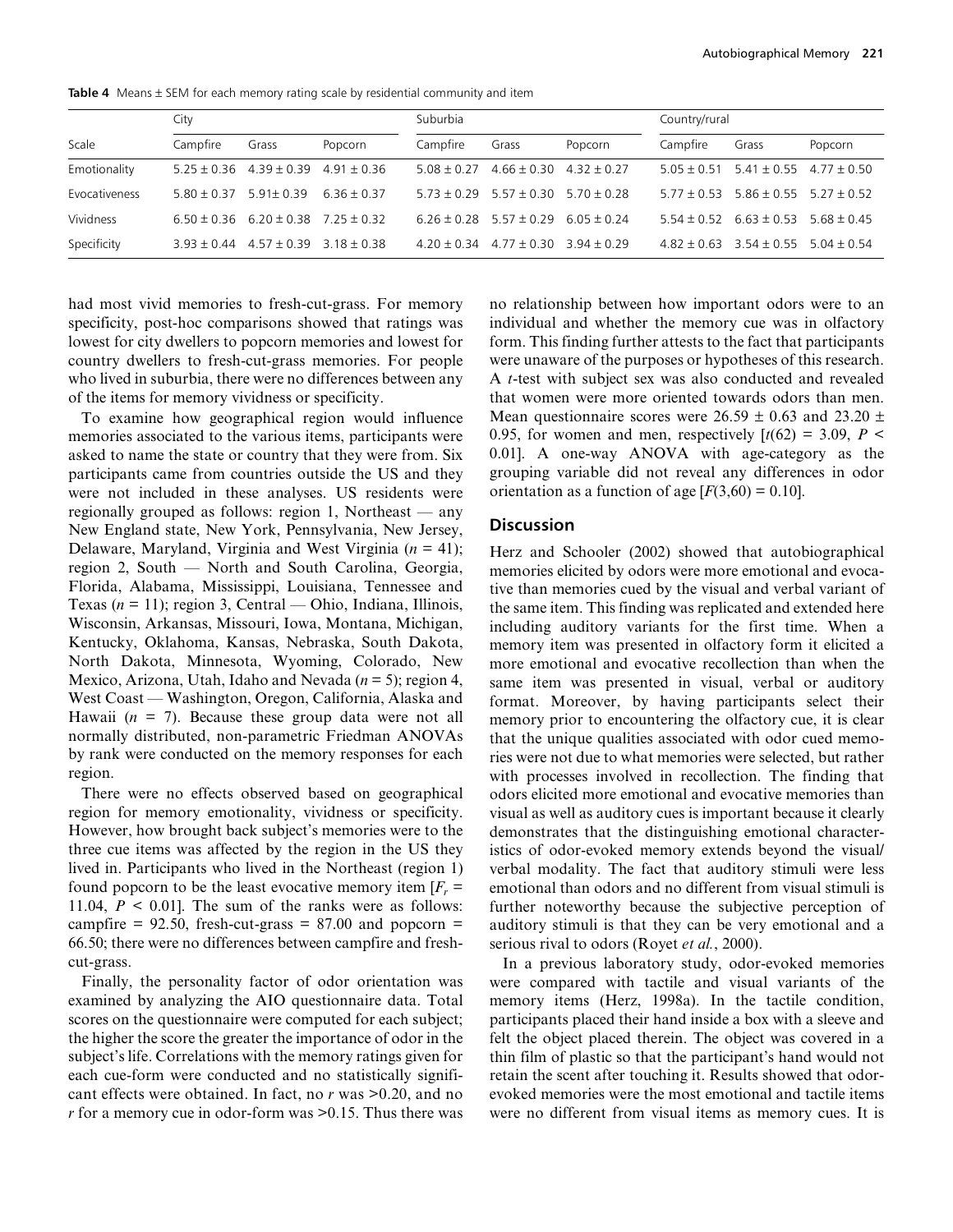City **Suburbia** Country/rural Country/rural Scale Campfire Grass Popcorn Campfire Grass Popcorn Campfire Grass Popcorn Emotionality  $5.25 \pm 0.36$   $4.39 \pm 0.39$   $4.91 \pm 0.36$   $5.08 \pm 0.27$   $4.66 \pm 0.30$   $4.32 \pm 0.27$   $5.05 \pm 0.51$   $5.41 \pm 0.55$   $4.77 \pm 0.50$ Evocativeness  $5.80 \pm 0.37$   $5.91 \pm 0.39$   $6.36 \pm 0.37$   $5.73 \pm 0.29$   $5.57 \pm 0.30$   $5.70 \pm 0.28$   $5.77 \pm 0.53$   $5.86 \pm 0.55$   $5.27 \pm 0.52$ Vividness 6.50 ± 0.36 6.20 ± 0.38 7.25 ± 0.32 6.26 ± 0.28 5.57 ± 0.29 6.05 ± 0.24 5.54 ± 0.52 6.63 ± 0.53 5.68 ± 0.45 Specificity 3.93 ± 0.44 4.57 ± 0.39 3.18 ± 0.38 4.20 ± 0.34 4.77 ± 0.30 3.94 ± 0.29 4.82 ± 0.63 3.54 ± 0.55 5.04 ± 0.54

**Table 4** Means ± SEM for each memory rating scale by residential community and item

had most vivid memories to fresh-cut-grass. For memory specificity, post-hoc comparisons showed that ratings was lowest for city dwellers to popcorn memories and lowest for country dwellers to fresh-cut-grass memories. For people who lived in suburbia, there were no differences between any of the items for memory vividness or specificity.

To examine how geographical region would influence memories associated to the various items, participants were asked to name the state or country that they were from. Six participants came from countries outside the US and they were not included in these analyses. US residents were regionally grouped as follows: region 1, Northeast — any New England state, New York, Pennsylvania, New Jersey, Delaware, Maryland, Virginia and West Virginia (*n* = 41); region 2, South — North and South Carolina, Georgia, Florida, Alabama, Mississippi, Louisiana, Tennessee and Texas (*n* = 11); region 3, Central — Ohio, Indiana, Illinois, Wisconsin, Arkansas, Missouri, Iowa, Montana, Michigan, Kentucky, Oklahoma, Kansas, Nebraska, South Dakota, North Dakota, Minnesota, Wyoming, Colorado, New Mexico, Arizona, Utah, Idaho and Nevada (*n* = 5); region 4, West Coast — Washington, Oregon, California, Alaska and Hawaii  $(n = 7)$ . Because these group data were not all normally distributed, non-parametric Friedman ANOVAs by rank were conducted on the memory responses for each region.

There were no effects observed based on geographical region for memory emotionality, vividness or specificity. However, how brought back subject's memories were to the three cue items was affected by the region in the US they lived in. Participants who lived in the Northeast (region 1) found popcorn to be the least evocative memory item  $[F_r =$ 11.04,  $P \le 0.01$ . The sum of the ranks were as follows: campfire = 92.50, fresh-cut-grass =  $87.00$  and popcorn = 66.50; there were no differences between campfire and freshcut-grass.

Finally, the personality factor of odor orientation was examined by analyzing the AIO questionnaire data. Total scores on the questionnaire were computed for each subject; the higher the score the greater the importance of odor in the subject's life. Correlations with the memory ratings given for each cue-form were conducted and no statistically significant effects were obtained. In fact, no *r* was >0.20, and no *r* for a memory cue in odor-form was >0.15. Thus there was

no relationship between how important odors were to an individual and whether the memory cue was in olfactory form. This finding further attests to the fact that participants were unaware of the purposes or hypotheses of this research. A *t*-test with subject sex was also conducted and revealed that women were more oriented towards odors than men. Mean questionnaire scores were  $26.59 \pm 0.63$  and  $23.20 \pm 0.63$ 0.95, for women and men, respectively  $[t(62) = 3.09, P \le$ 0.01]. A one-way ANOVA with age-category as the grouping variable did not reveal any differences in odor orientation as a function of age  $[F(3,60) = 0.10]$ .

#### **Discussion**

Herz and Schooler (2002) showed that autobiographical memories elicited by odors were more emotional and evocative than memories cued by the visual and verbal variant of the same item. This finding was replicated and extended here including auditory variants for the first time. When a memory item was presented in olfactory form it elicited a more emotional and evocative recollection than when the same item was presented in visual, verbal or auditory format. Moreover, by having participants select their memory prior to encountering the olfactory cue, it is clear that the unique qualities associated with odor cued memories were not due to what memories were selected, but rather with processes involved in recollection. The finding that odors elicited more emotional and evocative memories than visual as well as auditory cues is important because it clearly demonstrates that the distinguishing emotional characteristics of odor-evoked memory extends beyond the visual/ verbal modality. The fact that auditory stimuli were less emotional than odors and no different from visual stimuli is further noteworthy because the subjective perception of auditory stimuli is that they can be very emotional and a serious rival to odors (Royet *et al.*, 2000).

In a previous laboratory study, odor-evoked memories were compared with tactile and visual variants of the memory items (Herz, 1998a). In the tactile condition, participants placed their hand inside a box with a sleeve and felt the object placed therein. The object was covered in a thin film of plastic so that the participant's hand would not retain the scent after touching it. Results showed that odorevoked memories were the most emotional and tactile items were no different from visual items as memory cues. It is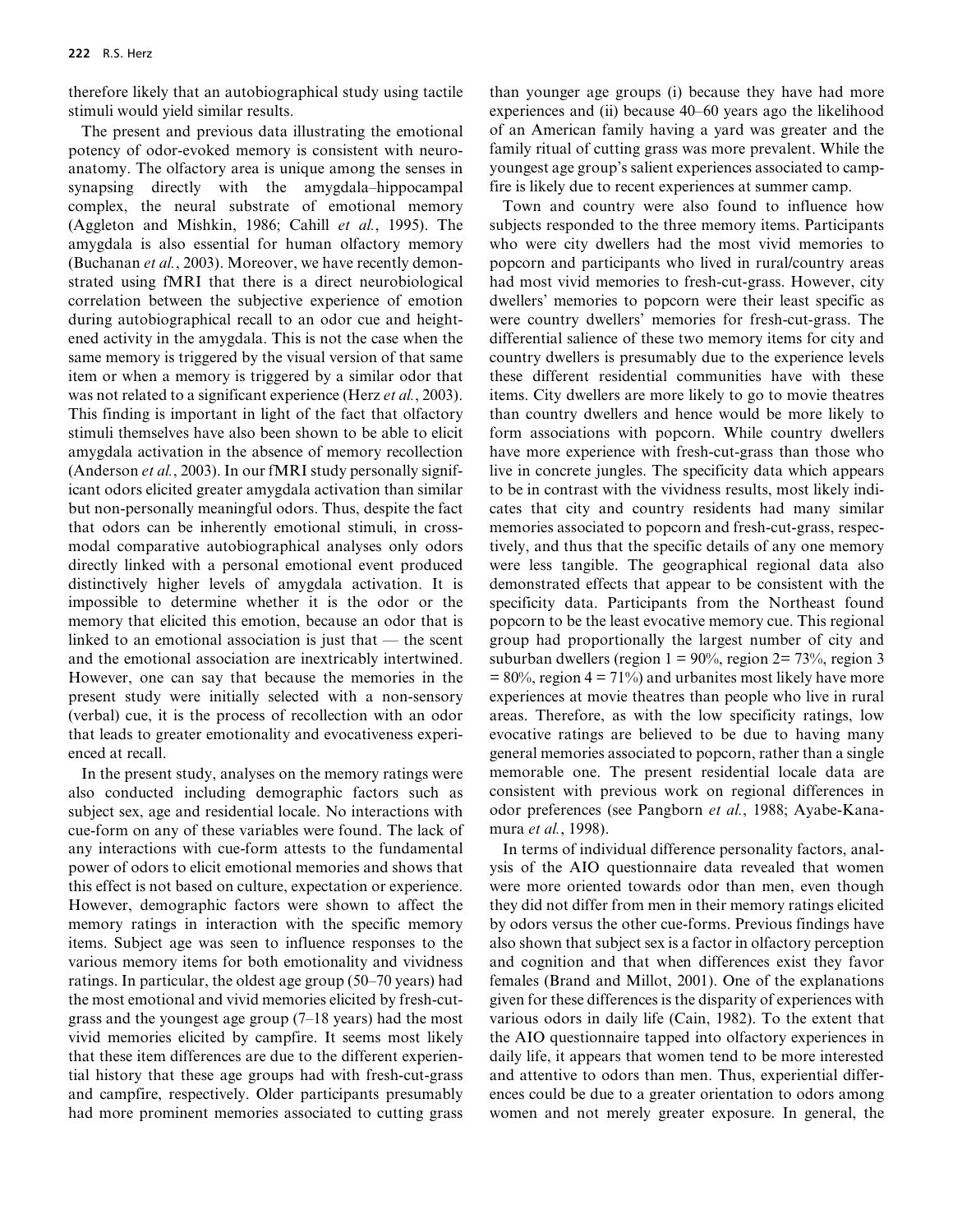therefore likely that an autobiographical study using tactile stimuli would yield similar results.

The present and previous data illustrating the emotional potency of odor-evoked memory is consistent with neuroanatomy. The olfactory area is unique among the senses in synapsing directly with the amygdala–hippocampal complex, the neural substrate of emotional memory (Aggleton and Mishkin, 1986; Cahill *et al.*, 1995). The amygdala is also essential for human olfactory memory (Buchanan *et al.*, 2003). Moreover, we have recently demonstrated using fMRI that there is a direct neurobiological correlation between the subjective experience of emotion during autobiographical recall to an odor cue and heightened activity in the amygdala. This is not the case when the same memory is triggered by the visual version of that same item or when a memory is triggered by a similar odor that was not related to a significant experience (Herz *et al.*, 2003). This finding is important in light of the fact that olfactory stimuli themselves have also been shown to be able to elicit amygdala activation in the absence of memory recollection (Anderson *et al.*, 2003). In our fMRI study personally significant odors elicited greater amygdala activation than similar but non-personally meaningful odors. Thus, despite the fact that odors can be inherently emotional stimuli, in crossmodal comparative autobiographical analyses only odors directly linked with a personal emotional event produced distinctively higher levels of amygdala activation. It is impossible to determine whether it is the odor or the memory that elicited this emotion, because an odor that is linked to an emotional association is just that — the scent and the emotional association are inextricably intertwined. However, one can say that because the memories in the present study were initially selected with a non-sensory (verbal) cue, it is the process of recollection with an odor that leads to greater emotionality and evocativeness experienced at recall.

In the present study, analyses on the memory ratings were also conducted including demographic factors such as subject sex, age and residential locale. No interactions with cue-form on any of these variables were found. The lack of any interactions with cue-form attests to the fundamental power of odors to elicit emotional memories and shows that this effect is not based on culture, expectation or experience. However, demographic factors were shown to affect the memory ratings in interaction with the specific memory items. Subject age was seen to influence responses to the various memory items for both emotionality and vividness ratings. In particular, the oldest age group (50–70 years) had the most emotional and vivid memories elicited by fresh-cutgrass and the youngest age group (7–18 years) had the most vivid memories elicited by campfire. It seems most likely that these item differences are due to the different experiential history that these age groups had with fresh-cut-grass and campfire, respectively. Older participants presumably had more prominent memories associated to cutting grass

than younger age groups (i) because they have had more experiences and (ii) because 40–60 years ago the likelihood of an American family having a yard was greater and the family ritual of cutting grass was more prevalent. While the youngest age group's salient experiences associated to campfire is likely due to recent experiences at summer camp.

Town and country were also found to influence how subjects responded to the three memory items. Participants who were city dwellers had the most vivid memories to popcorn and participants who lived in rural/country areas had most vivid memories to fresh-cut-grass. However, city dwellers' memories to popcorn were their least specific as were country dwellers' memories for fresh-cut-grass. The differential salience of these two memory items for city and country dwellers is presumably due to the experience levels these different residential communities have with these items. City dwellers are more likely to go to movie theatres than country dwellers and hence would be more likely to form associations with popcorn. While country dwellers have more experience with fresh-cut-grass than those who live in concrete jungles. The specificity data which appears to be in contrast with the vividness results, most likely indicates that city and country residents had many similar memories associated to popcorn and fresh-cut-grass, respectively, and thus that the specific details of any one memory were less tangible. The geographical regional data also demonstrated effects that appear to be consistent with the specificity data. Participants from the Northeast found popcorn to be the least evocative memory cue. This regional group had proportionally the largest number of city and suburban dwellers (region  $1 = 90\%$ , region  $2 = 73\%$ , region 3  $= 80\%$ , region  $4 = 71\%$ ) and urbanites most likely have more experiences at movie theatres than people who live in rural areas. Therefore, as with the low specificity ratings, low evocative ratings are believed to be due to having many general memories associated to popcorn, rather than a single memorable one. The present residential locale data are consistent with previous work on regional differences in odor preferences (see Pangborn *et al.*, 1988; Ayabe-Kanamura *et al.*, 1998).

In terms of individual difference personality factors, analysis of the AIO questionnaire data revealed that women were more oriented towards odor than men, even though they did not differ from men in their memory ratings elicited by odors versus the other cue-forms. Previous findings have also shown that subject sex is a factor in olfactory perception and cognition and that when differences exist they favor females (Brand and Millot, 2001). One of the explanations given for these differences is the disparity of experiences with various odors in daily life (Cain, 1982). To the extent that the AIO questionnaire tapped into olfactory experiences in daily life, it appears that women tend to be more interested and attentive to odors than men. Thus, experiential differences could be due to a greater orientation to odors among women and not merely greater exposure. In general, the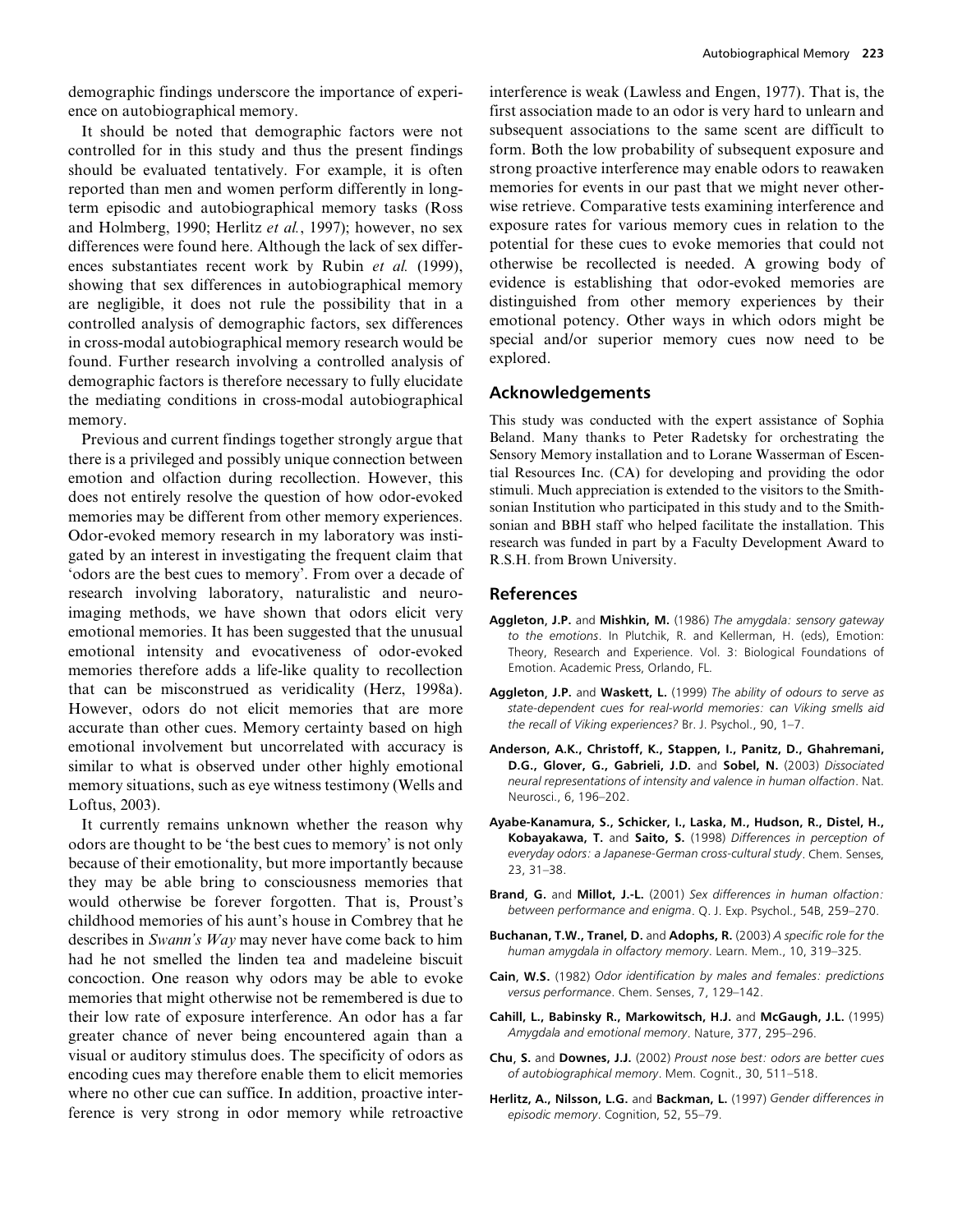demographic findings underscore the importance of experience on autobiographical memory.

It should be noted that demographic factors were not controlled for in this study and thus the present findings should be evaluated tentatively. For example, it is often reported than men and women perform differently in longterm episodic and autobiographical memory tasks (Ross and Holmberg, 1990; Herlitz *et al.*, 1997); however, no sex differences were found here. Although the lack of sex differences substantiates recent work by Rubin *et al.* (1999), showing that sex differences in autobiographical memory are negligible, it does not rule the possibility that in a controlled analysis of demographic factors, sex differences in cross-modal autobiographical memory research would be found. Further research involving a controlled analysis of demographic factors is therefore necessary to fully elucidate the mediating conditions in cross-modal autobiographical memory.

Previous and current findings together strongly argue that there is a privileged and possibly unique connection between emotion and olfaction during recollection. However, this does not entirely resolve the question of how odor-evoked memories may be different from other memory experiences. Odor-evoked memory research in my laboratory was instigated by an interest in investigating the frequent claim that 'odors are the best cues to memory'. From over a decade of research involving laboratory, naturalistic and neuroimaging methods, we have shown that odors elicit very emotional memories. It has been suggested that the unusual emotional intensity and evocativeness of odor-evoked memories therefore adds a life-like quality to recollection that can be misconstrued as veridicality (Herz, 1998a). However, odors do not elicit memories that are more accurate than other cues. Memory certainty based on high emotional involvement but uncorrelated with accuracy is similar to what is observed under other highly emotional memory situations, such as eye witness testimony (Wells and Loftus, 2003).

It currently remains unknown whether the reason why odors are thought to be 'the best cues to memory' is not only because of their emotionality, but more importantly because they may be able bring to consciousness memories that would otherwise be forever forgotten. That is, Proust's childhood memories of his aunt's house in Combrey that he describes in *Swann's Way* may never have come back to him had he not smelled the linden tea and madeleine biscuit concoction. One reason why odors may be able to evoke memories that might otherwise not be remembered is due to their low rate of exposure interference. An odor has a far greater chance of never being encountered again than a visual or auditory stimulus does. The specificity of odors as encoding cues may therefore enable them to elicit memories where no other cue can suffice. In addition, proactive interference is very strong in odor memory while retroactive interference is weak (Lawless and Engen, 1977). That is, the first association made to an odor is very hard to unlearn and subsequent associations to the same scent are difficult to form. Both the low probability of subsequent exposure and strong proactive interference may enable odors to reawaken memories for events in our past that we might never otherwise retrieve. Comparative tests examining interference and exposure rates for various memory cues in relation to the potential for these cues to evoke memories that could not otherwise be recollected is needed. A growing body of evidence is establishing that odor-evoked memories are distinguished from other memory experiences by their emotional potency. Other ways in which odors might be special and/or superior memory cues now need to be explored.

#### **Acknowledgements**

This study was conducted with the expert assistance of Sophia Beland. Many thanks to Peter Radetsky for orchestrating the Sensory Memory installation and to Lorane Wasserman of Escential Resources Inc. (CA) for developing and providing the odor stimuli. Much appreciation is extended to the visitors to the Smithsonian Institution who participated in this study and to the Smithsonian and BBH staff who helped facilitate the installation. This research was funded in part by a Faculty Development Award to R.S.H. from Brown University.

#### **References**

- **Aggleton**, **J.P.** and **Mishkin, M.** (1986) *The amygdala: sensory gateway to the emotions*. In Plutchik, R. and Kellerman, H. (eds), Emotion: Theory, Research and Experience. Vol. 3: Biological Foundations of Emotion. Academic Press, Orlando, FL.
- **Aggleton**, **J.P.** and **Waskett, L.** (1999) *The ability of odours to serve as state-dependent cues for real-world memories: can Viking smells aid the recall of Viking experiences?* Br. J. Psychol., 90, 1–7.
- **Anderson, A.K., Christoff, K., Stappen, I., Panitz, D., Ghahremani, D.G., Glover, G., Gabrieli, J.D.** and **Sobel, N.** (2003) *Dissociated neural representations of intensity and valence in human olfaction*. Nat. Neurosci., 6, 196–202.
- **Ayabe-Kanamura, S., Schicker, I., Laska, M., Hudson, R., Distel, H., Kobayakawa, T.** and **Saito, S.** (1998) *Differences in perception of everyday odors: a Japanese-German cross-cultural study*. Chem. Senses, 23, 31–38.
- **Brand**, **G.** and **Millot, J.-L.** (2001) *Sex differences in human olfaction: between performance and enigma*. Q. J. Exp. Psychol., 54B, 259–270.
- **Buchanan, T.W., Tranel, D.** and **Adophs, R.** (2003) *A specific role for the human amygdala in olfactory memory*. Learn. Mem., 10, 319–325.
- **Cain**, **W.S.** (1982) *Odor identification by males and females: predictions versus performance*. Chem. Senses, 7, 129–142.
- **Cahill, L., Babinsky R., Markowitsch, H.J.** and **McGaugh, J.L.** (1995) *Amygdala and emotional memory*. Nature, 377, 295–296.
- **Chu**, **S.** and **Downes, J.J.** (2002) *Proust nose best: odors are better cues of autobiographical memory*. Mem. Cognit., 30, 511–518.
- **Herlitz, A., Nilsson, L.G.** and **Backman, L.** (1997) *Gender differences in episodic memory*. Cognition, 52, 55–79.